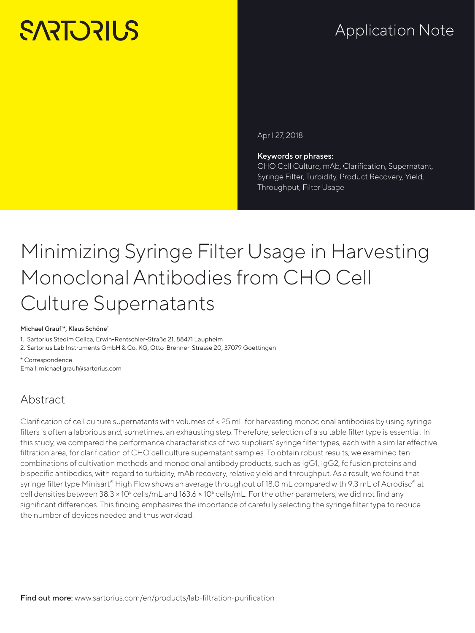# **SARTORILS**

## Application Note

April 27, 2018

#### Keywords or phrases:

CHO Cell Culture, mAb, Clarification, Supernatant, Syringe Filter, Turbidity, Product Recovery, Yield, Throughput, Filter Usage

## Minimizing Syringe Filter Usage in Harvesting Monoclonal Antibodies from CHO Cell Culture Supernatants

#### Michael Grauf<sup>1\*</sup>, Klaus Schöne<sup>2</sup>

1. Sartorius Stedim Cellca, Erwin-Rentschler-Straße 21, 88471 Laupheim

2. Sartorius Lab Instruments GmbH & Co. KG, Otto-Brenner-Strasse 20, 37079 Goettingen

\* Correspondence [Email: michael.grauf@sartorius.com](mailto:michael.grauf%40sartorius.com?subject=)

## Abstract

Clarification of cell culture supernatants with volumes of < 25 mL for harvesting monoclonal antibodies by using syringe filters is often a laborious and, sometimes, an exhausting step. Therefore, selection of a suitable filter type is essential. In this study, we compared the performance characteristics of two suppliers' syringe filter types, each with a similar effective filtration area, for clarification of CHO cell culture supernatant samples. To obtain robust results, we examined ten combinations of cultivation methods and monoclonal antibody products, such as IgG1, IgG2, fc fusion proteins and bispecific antibodies, with regard to turbidity, mAb recovery, relative yield and throughput. As a result, we found that syringe filter type Minisart® High Flow shows an average throughput of 18.0 mL compared with 9.3 mL of Acrodisc® at cell densities between 38.3 × 10<sup>5</sup> cells/mL and 163.6 × 10<sup>5</sup> cells/mL. For the other parameters, we did not find any significant differences. This finding emphasizes the importance of carefully selecting the syringe filter type to reduce the number of devices needed and thus workload.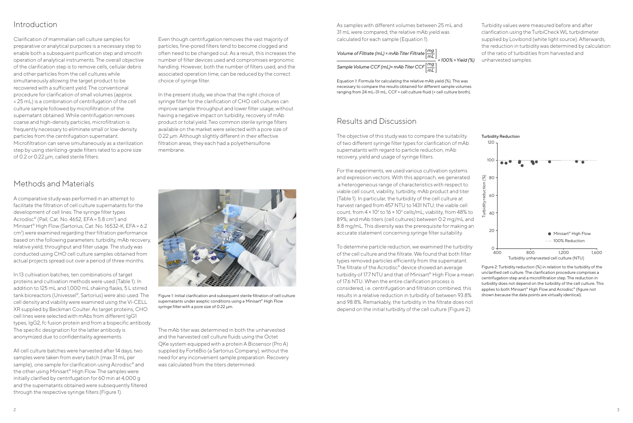#### Introduction

Clarification of mammalian cell culture samples for preparative or analytical purposes is a necessary step to enable both a subsequent purification step and smooth operation of analytical instruments. The overall objective of the clarification step is to remove cells, cellular debris and other particles from the cell cultures while simultaneously allowing the target product to be recovered with a sufficient yield. The conventional procedure for clarification of small volumes (approx. < 25 mL) is a combination of centrifugation of the cell culture sample followed by microfiltration of the supernatant obtained. While centrifugation removes coarse and high-density particles, microfiltration is frequently necessary to eliminate small or low-density particles from the centrifugation supernatant. Microfiltration can serve simultaneously as a sterilization step by using sterilizing-grade filters rated to a pore size of 0.2 or 0.22 µm, called sterile filters.

Even though centrifugation removes the vast majority of particles, fine-pored filters tend to become clogged and often need to be changed out. As a result, this increases the number of filter devices used and compromises ergonomic handling. However, both the number of filters used, and the associated operation time, can be reduced by the correct choice of syringe filter.

In the present study, we show that the right choice of syringe filter for the clarification of CHO cell cultures can improve sample throughput and lower filter usage, without having a negative impact on turbidity, recovery of mAb product or total yield. Two common sterile syringe filters available on the market were selected with a pore size of 0.22 µm. Although slightly different in their effective filtration areas, they each had a polyethersulfone membrane.



Figure 1: Initial clarification and subsequent sterile filtration of cell culture supernatants under aseptic conditions using a Minisart® High Flow syringe filter with a pore size of 0.22  $\mu$ m.

### Methods and Materials

A comparative study was performed in an attempt to facilitate the filtration of cell culture supernatants for the development of cell lines. The syringe filter types Acrodisc® (Pall, Cat. No. 4652, EFA =  $5.8 \text{ cm}^2$ ) and Minisart® High Flow (Sartorius, Cat. No. 16532-K, EFA = 6.2 cm<sup>2</sup>) were examined regarding their filtration performance based on the following parameters: turbidity, mAb recovery, relative yield, throughput and filter usage. The study was conducted using CHO cell culture samples obtained from actual projects spread out over a period of three months.

In 13 cultivation batches, ten combinations of target proteins and cultivation methods were used (Table 1). In addition to 125 mL and 1,000 mL shaking flasks, 5 L stirred tank bioreactors (Univessel®, Sartorius) were also used. The cell density and viability were examined using the Vi-CELL XR supplied by Beckman Coulter. As target proteins, CHO cell lines were selected with mAbs from different IgG1 types, IgG2, fc fusion protein and from a bispecific antibody. The specific designation for the latter antibody is anonymized due to confidentiality agreements.



All cell culture batches were harvested after 14 days; two samples were taken from every batch (max 31 mL per sample), one sample for clarification using Acrodisc® and the other using Minisart® High Flow. The samples were initially clarified by centrifugation for 60 min at 4,000 g and the supernatants obtained were subsequently filtered through the respective syringe filters (Figure 1).

 $0 + 400$ 400 800 1,200 1,600 Turbidity unharvested cell culture (NTU) To determine particle reduction, we examined the turbidity of the cell culture and the filtrate. We found that both filter types removed particles efficiently from the supernatant. The filtrate of the Acrodisc® device showed an average turbidity of 17.7 NTU and that of Minisart® High Flow a mean of 17.6 NTU. When the entire clarification process is considered, i.e. centrifugation and filtration combined, this results in a relative reduction in turbidity of between 93.8% and 98.8%. Remarkably, the turbidity in the filtrate does not depend on the initial turbidity of the cell culture (Figure 2). Figure 2: Turbidity reduction (%) in relation to the turbidity of the unclarified cell culture. The clarification procedure comprises a centrifugation step and a microfiltration step. The reduction in turbidity does not depend on the turbidity of the cell culture. This applies to both Minisart® High Flow and Acrodisc® (figure not shown because the data points are virtually identical).

The mAb titer was determined in both the unharvested and the harvested cell culture fluids using the Octet QKe system equipped with a protein A Biosensor (Pro A) supplied by FortéBio (a Sartorius Company), without the need for any inconvenient sample preparation. Recovery was calculated from the titers determined.

As samples with different volumes between 25 mL and 31 mL were compared, the relative mAb yield was calculated for each sample (Equation 1).

Volume of Filtrate (mL) × mAb Titer Filtrate 
$$
\left[\frac{mg}{mL}\right]
$$
  
Sample Volume CCF (mL)× mAb Titer CCF  $\left[\frac{mg}{mL}\right]$  × 100% = Yield (%)

Equation 1: Formula for calculating the relative mAb yield (%). This was necessary to compare the results obtained for different sample volumes ranging from 24 mL–31 mL. CCF = cell culture fluid (= cell culture broth).

Turbidity values were measured before and after clarification using the TurbiCheck WL turbidimeter supplied by Lovibond (white light source). Afterwards, the reduction in turbidity was determined by calculation of the ratio of turbidities from harvested and unharvested samples.

### Results and Discussion

The objective of this study was to compare the suitability of two different syringe filter types for clarification of mAb supernatants with regard to particle reduction, mAb recovery, yield and usage of syringe filters.

For the experiments, we used various cultivation systems and expression vectors. With this approach, we generated a heterogeneous range of characteristics with respect to viable cell count, viability, turbidity, mAb product and titer (Table 1). In particular, the turbidity of the cell culture at harvest ranged from 457 NTU to 1431 NTU; the viable cell count, from  $4 \times 10^6$  to  $16 \times 10^6$  cells/mL; viability, from 48% to 89%; and mAb titers (cell cultures) between 0.2 mg/mL and 8.8 mg/mL. This diversity was the prerequisite for making an accurate statement concerning syringe filter suitability.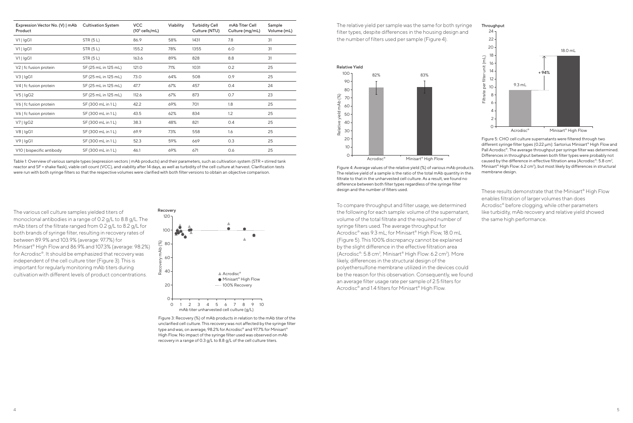Figure 3: Recovery (%) of mAb products in relation to the mAb titer of the unclarified cell culture. This recovery was not affected by the syringe filter type and was, on average, 98.2% for Acrodisc® and 97.7% for Minisart® High Flow. No impact of the syringe filter used was observed on mAb recovery in a range of 0.3 g/L to 8.8 g/L of the cell culture titers.





The relative yield per sample was the same for both syringe filter types, despite differences in the housing design and the number of filters used per sample (Figure 4).

Figure 4: Average values of the relative yield (%) of various mAb products. The relative yield of a sample is the ratio of the total mAb quantity in the filtrate to that in the unharvested cell culture. As a result, we found no difference between both filter types regardless of the syringe filter design and the number of filters used.



Figure 5: CHO cell culture supernatants were filtered through two different syringe filter types (0.22 µm): Sartorius Minisart® High Flow and Pall Acrodisc®. The average throughput per syringe filter was determined. Differences in throughput between both filter types were probably not caused by the difference in effective filtration area (Acrodisc®:  $5.8 \text{ cm}^2$ , Minisart<sup>®</sup> High Flow: 6.2 cm<sup>2</sup>), but most likely by differences in structural membrane design.

To compare throughput and filter usage, we determined the following for each sample: volume of the supernatant, volume of the total filtrate and the required number of syringe filters used. The average throughput for Acrodisc® was 9.3 mL; for Minisart® High Flow, 18.0 mL (Figure 5). This 100% discrepancy cannot be explained by the slight difference in the effective filtration area (Acrodisc®: 5.8 cm<sup>2</sup>, Minisart® High Flow: 6.2 cm<sup>2</sup>). More likely, differences in the structural design of the polyethersulfone membrane utilized in the devices could be the reason for this observation. Consequently, we found an average filter usage rate per sample of 2.5 filters for Acrodisc® and 1.4 filters for Minisart® High Flow.

These results demonstrate that the Minisart® High Flow enables filtration of larger volumes than does Acrodisc® before clogging, while other parameters like turbidity, mAb recovery and relative yield showed the same high performance.

The various cell culture samples yielded titers of monoclonal antibodies in a range of 0.2 g/L to 8.8 g/L. The mAb titers of the filtrate ranged from 0.2 g/L to 8.2 g/L for both brands of syringe filter, resulting in recovery rates of between 89.9% and 103.9% (average: 97.7%) for Minisart® High Flow and 86.9% and 107.3% (average: 98.2%) for Acrodisc®. It should be emphasized that recovery was independent of the cell culture titer (Figure 3). This is important for regularly monitoring mAb titers during cultivation with different levels of product concentrations.

| Expression Vector No. (V)   mAb<br>Product | <b>Cultivation System</b> | <b>VCC</b><br>$(105$ cells/mL) | Viability | <b>Turbidity Cell</b><br>Culture (NTU) | mAb Titer Cell<br>Culture (mg/mL) | Sample<br>Volume (mL) |
|--------------------------------------------|---------------------------|--------------------------------|-----------|----------------------------------------|-----------------------------------|-----------------------|
| $V1$   IgG1                                | <b>STR (5 L)</b>          | 86.9                           | 58%       | 1431                                   | 7.8                               | 31                    |
| V1   IgG1                                  | <b>STR (5 L)</b>          | 155.2                          | 78%       | 1355                                   | 6.0                               | 31                    |
| V1   IgG1                                  | STR(5L)                   | 163.6                          | 89%       | 828                                    | 8.8                               | 31                    |
| V2   fc fusion protein                     | SF (25 mL in 125 mL)      | 121.0                          | 71%       | 1031                                   | 0.2                               | 25                    |
| V3   IgG1                                  | SF (25 mL in 125 mL)      | 73.0                           | 64%       | 508                                    | 0.9                               | 25                    |
| V4   fc fusion protein                     | SF (25 mL in 125 mL)      | 47.7                           | 67%       | 457                                    | 0.4                               | 24                    |
| V5   IgG2                                  | SF (25 mL in 125 mL)      | 112.6                          | 67%       | 873                                    | O.7                               | 23                    |
| V6   fc fusion protein                     | SF (300 mL in 1L)         | 42.2                           | 69%       | 701                                    | 1.8                               | 25                    |
| V6   fc fusion protein                     | SF (300 mL in 1L)         | 43.5                           | 62%       | 834                                    | 1.2                               | 25                    |
| V7   IgG2                                  | SF (300 mL in 1L)         | 38.3                           | 48%       | 821                                    | 0.4                               | 25                    |
| V8   IgG1                                  | SF (300 mL in 1L)         | 69.9                           | 73%       | 558                                    | 1.6                               | 25                    |
| $V9$   IgG1                                | SF (300 mL in 1L)         | 52.3                           | 59%       | 669                                    | 0.3                               | 25                    |
| V10   bispecific antibody                  | SF (300 mL in 1L)         | 46.1                           | 69%       | 671                                    | 0.6                               | 25                    |

Table 1: Overview of various sample types (expression vectors | mAb products) and their parameters, such as cultivation system (STR = stirred tank reactor and SF = shake flask), viable cell count (VCC), and viability after 14 days, as well as turbidity of the cell culture at harvest. Clarification tests were run with both syringe filters so that the respective volumes were clarified with both filter versions to obtain an objective comparison.